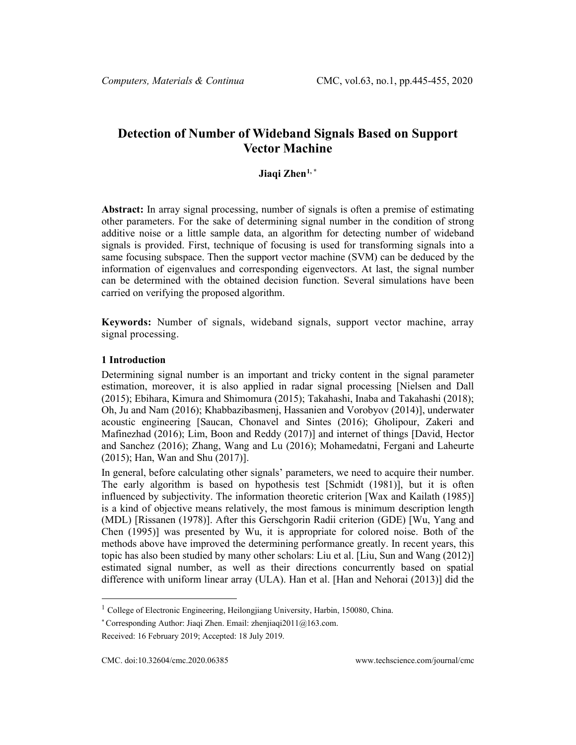# **Detection of Number of Wideband Signals Based on Support Vector Machine**

# **Jiaqi Zhen[1,](#page-0-0) \***

**Abstract:** In array signal processing, number of signals is often a premise of estimating other parameters. For the sake of determining signal number in the condition of strong additive noise or a little sample data, an algorithm for detecting number of wideband signals is provided. First, technique of focusing is used for transforming signals into a same focusing subspace. Then the support vector machine (SVM) can be deduced by the information of eigenvalues and corresponding eigenvectors. At last, the signal number can be determined with the obtained decision function. Several simulations have been carried on verifying the proposed algorithm.

**Keywords:** Number of signals, wideband signals, support vector machine, array signal processing.

## **1 Introduction**

Determining signal number is an important and tricky content in the signal parameter estimation, moreover, it is also applied in radar signal processing [Nielsen and Dall (2015); Ebihara, Kimura and Shimomura (2015); Takahashi, Inaba and Takahashi (2018); Oh, Ju and Nam (2016); Khabbazibasmenj, Hassanien and Vorobyov (2014)], underwater acoustic engineering [Saucan, Chonavel and Sintes (2016); Gholipour, Zakeri and Mafinezhad (2016); Lim, Boon and Reddy (2017)] and internet of things [David, Hector and Sanchez (2016); Zhang, Wang and Lu (2016); Mohamedatni, Fergani and Laheurte (2015); Han, Wan and Shu (2017)].

In general, before calculating other signals' parameters, we need to acquire their number. The early algorithm is based on hypothesis test [Schmidt (1981)], but it is often influenced by subjectivity. The information theoretic criterion [Wax and Kailath (1985)] is a kind of objective means relatively, the most famous is minimum description length (MDL) [Rissanen (1978)]. After this Gerschgorin Radii criterion (GDE) [Wu, Yang and Chen (1995)] was presented by Wu, it is appropriate for colored noise. Both of the methods above have improved the determining performance greatly. In recent years, this topic has also been studied by many other scholars: Liu et al. [Liu, Sun and Wang (2012)] estimated signal number, as well as their directions concurrently based on spatial difference with uniform linear array (ULA). Han et al. [Han and Nehorai (2013)] did the

<span id="page-0-0"></span><sup>&</sup>lt;sup>1</sup> College of Electronic Engineering, Heilongjiang University, Harbin, 150080, China.

<sup>\*</sup> Corresponding Author: Jiaqi Zhen. Email: zhenjiaqi $2011@163$ .com.

Received: 16 February 2019; Accepted: 18 July 2019.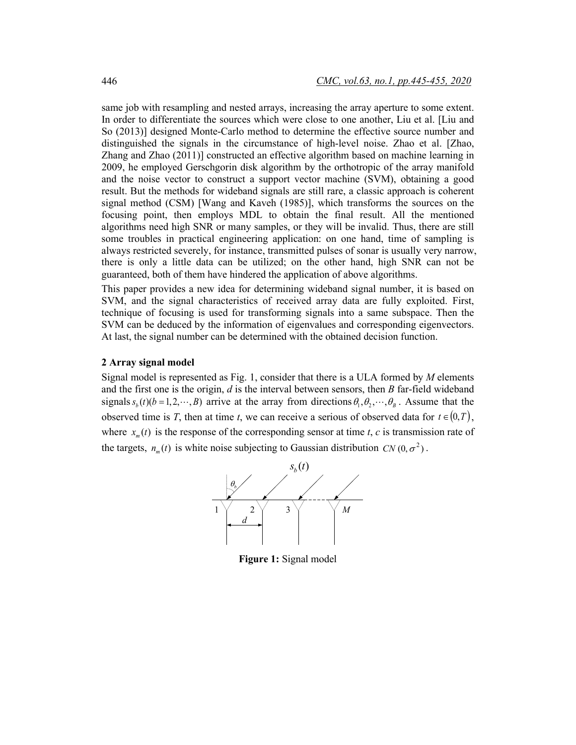same job with resampling and nested arrays, increasing the array aperture to some extent. In order to differentiate the sources which were close to one another, Liu et al. [Liu and So (2013)] designed Monte-Carlo method to determine the effective source number and distinguished the signals in the circumstance of high-level noise. Zhao et al. [Zhao, Zhang and Zhao (2011)] constructed an effective algorithm based on machine learning in 2009, he employed Gerschgorin disk algorithm by the orthotropic of the array manifold and the noise vector to construct a support vector machine (SVM), obtaining a good result. But the methods for wideband signals are still rare, a classic approach is coherent signal method (CSM) [Wang and Kaveh (1985)], which transforms the sources on the focusing point, then employs MDL to obtain the final result. All the mentioned algorithms need high SNR or many samples, or they will be invalid. Thus, there are still some troubles in practical engineering application: on one hand, time of sampling is always restricted severely, for instance, transmitted pulses of sonar is usually very narrow, there is only a little data can be utilized; on the other hand, high SNR can not be guaranteed, both of them have hindered the application of above algorithms.

This paper provides a new idea for determining wideband signal number, it is based on SVM, and the signal characteristics of received array data are fully exploited. First, technique of focusing is used for transforming signals into a same subspace. Then the SVM can be deduced by the information of eigenvalues and corresponding eigenvectors. At last, the signal number can be determined with the obtained decision function.

#### **2 Array signal model**

Signal model is represented as Fig. 1, consider that there is a ULA formed by *M* elements and the first one is the origin, *d* is the interval between sensors, then *B* far-field wideband signals  $s_h(t)$ ( $b = 1, 2, \dots, B$ ) arrive at the array from directions  $\theta_1, \theta_2, \dots, \theta_B$ . Assume that the observed time is *T*, then at time *t*, we can receive a serious of observed data for  $t \in (0,T)$ , where  $x_m(t)$  is the response of the corresponding sensor at time *t*, *c* is transmission rate of the targets,  $n_m(t)$  is white noise subjecting to Gaussian distribution  $CN(0, \sigma^2)$ .



**Figure 1:** Signal model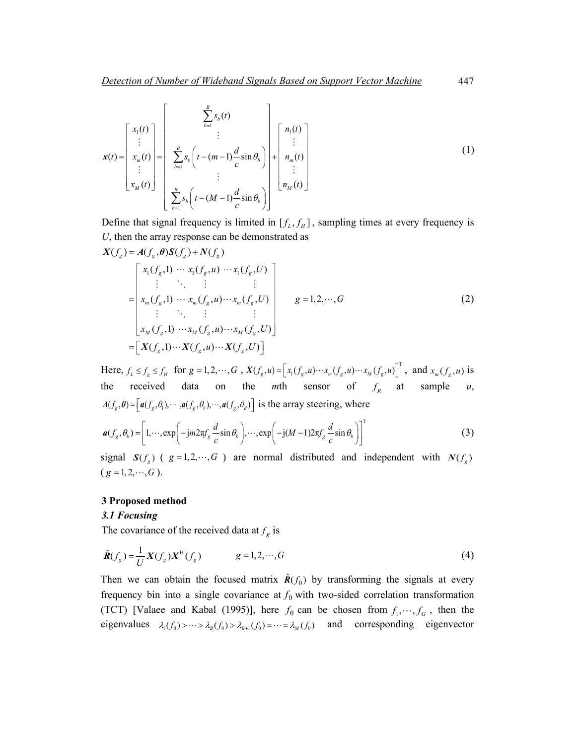$$
\mathbf{x}(t) = \begin{bmatrix} x_1(t) \\ \vdots \\ x_m(t) \\ \vdots \\ x_M(t) \end{bmatrix} = \begin{bmatrix} \sum_{b=1}^{B} s_b(t) \\ \vdots \\ \sum_{b=1}^{B} s_b \left( t - (m-1) \frac{d}{c} \sin \theta_b \right) \\ \vdots \\ \sum_{b=1}^{B} s_b \left( t - (M-1) \frac{d}{c} \sin \theta_b \right) \end{bmatrix} + \begin{bmatrix} n_1(t) \\ \vdots \\ n_m(t) \\ \vdots \\ n_M(t) \end{bmatrix}
$$
(1)

Define that signal frequency is limited in  $[f_L, f_H]$ , sampling times at every frequency is *U*, then the array response can be demonstrated as

$$
X(f_g) = A(f_g, \theta)S(f_g) + N(f_g)
$$
  
\n
$$
= \begin{bmatrix} x_1(f_g, 1) & \cdots & x_1(f_g, u) & \cdots & x_1(f_g, U) \\ \vdots & \ddots & \vdots & \vdots & \vdots \\ x_m(f_g, 1) & \cdots & x_m(f_g, u) & \cdots & x_m(f_g, U) \\ \vdots & \ddots & \vdots & \vdots & \vdots \\ x_M(f_g, 1) & \cdots & x_M(f_g, u) & \cdots & x_M(f_g, U) \end{bmatrix} \qquad g = 1, 2, \cdots, G
$$
\n(2)  
\n
$$
= \begin{bmatrix} X(f_g, 1) & \cdots & X(f_g, u) & \cdots & X(f_g, U) \end{bmatrix}
$$

Here,  $f_L \le f_g \le f_H$  for  $g = 1, 2, \dots, G$ ,  $X(f_g, u) = \left[x_1(f_g, u) \cdots x_m(f_g, u) \cdots x_M(f_g, u)\right]^T$ , and  $x_m(f_g, u)$  is the received data on the *m*th sensor of  $f_g$  at sample *u*,  $A(f_g, \theta) = \left[ a(f_g, \theta_1), \dots, a(f_g, \theta_b), \dots, a(f_g, \theta_B) \right]$  is the array steering, where

$$
\boldsymbol{a}(f_s, \theta_b) = \left[1, \cdots, \exp\left(-j m 2 \pi f_s \frac{d}{c} \sin \theta_b\right), \cdots, \exp\left(-j (M-1) 2 \pi f_s \frac{d}{c} \sin \theta_b\right)\right]^T
$$
(3)

signal  $S(f)$  ( $g = 1, 2, \dots, G$ ) are normal distributed and independent with  $N(f)$  $(g = 1, 2, \cdots, G)$ .

#### **3 Proposed method**

#### *3.1 Focusing*

The covariance of the received data at  $f_g$  is

$$
\hat{\boldsymbol{R}}(f_g) = \frac{1}{U} \boldsymbol{X}(f_g) \boldsymbol{X}^{\mathrm{H}}(f_g) \qquad \qquad g = 1, 2, \cdots, G \tag{4}
$$

Then we can obtain the focused matrix  $\hat{R}(f_0)$  by transforming the signals at every frequency bin into a single covariance at  $f_0$  with two-sided correlation transformation (TCT) [Valaee and Kabal (1995)], here  $f_0$  can be chosen from  $f_1, \dots, f_G$ , then the eigenvalues  $\lambda_1(f_0) > \cdots > \lambda_B(f_0) > \lambda_{B+1}(f_0) = \cdots = \lambda_M(f_0)$  and corresponding eigenvector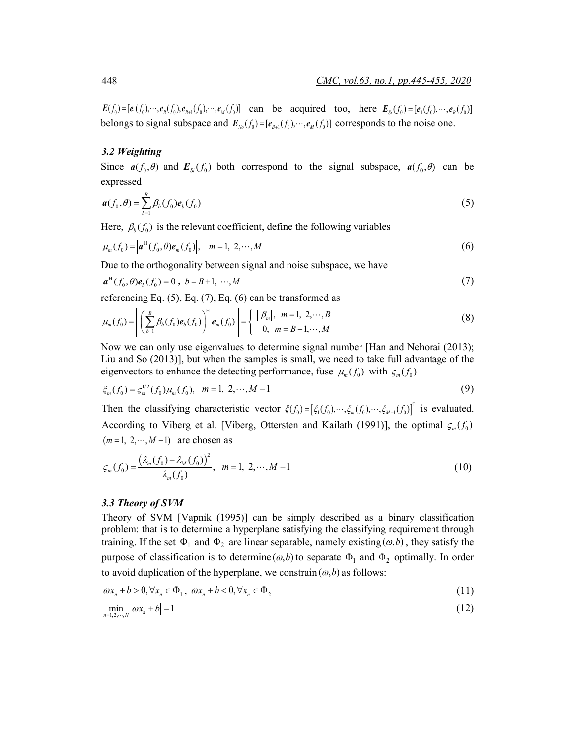$E(f_0) = [e_1(f_0), \dots, e_B(f_0), e_{B+1}(f_0), \dots, e_M(f_0)]$  can be acquired too, here  $E_{S}(f_0) = [e_1(f_0), \dots, e_B(f_0)]$ belongs to signal subspace and  $\mathbf{E}_{N_o}(f_0) = [\mathbf{e}_{B+1}(f_0), \cdots, \mathbf{e}_M(f_0)]$  corresponds to the noise one.

## *3.2 Weighting*

Since  $a(f_0, \theta)$  and  $E_{s_i}(f_0)$  both correspond to the signal subspace,  $a(f_0, \theta)$  can be expressed

$$
\boldsymbol{a}(f_0,\theta) = \sum_{b=1}^B \beta_b(f_0) \boldsymbol{e}_b(f_0)
$$
\n(5)

Here,  $\beta_h(f_0)$  is the relevant coefficient, define the following variables

$$
\mu_m(f_0) = \left| \boldsymbol{a}^H(f_0, \theta) \boldsymbol{e}_m(f_0) \right|, \quad m = 1, \ 2, \cdots, M \tag{6}
$$

Due to the orthogonality between signal and noise subspace, we have

$$
a^{H}(f_{0},\theta)e_{b}(f_{0})=0, b=B+1, \cdots, M
$$
\n(7)

referencing Eq. (5), Eq. (7), Eq. (6) can be transformed as

$$
\mu_m(f_0) = \left| \left( \sum_{b=1}^B \beta_b(f_0) e_b(f_0) \right)^{\text{H}} e_m(f_0) \right| = \left\{ \begin{array}{l} | \beta_m |, \ m = 1, \ 2, \cdots, B \\ 0, \ m = B+1, \cdots, M \end{array} \right. \tag{8}
$$

Now we can only use eigenvalues to determine signal number [Han and Nehorai (2013); Liu and So (2013)], but when the samples is small, we need to take full advantage of the eigenvectors to enhance the detecting performance, fuse  $\mu_m(f_0)$  with  $\varsigma_m(f_0)$ 

$$
\xi_m(f_0) = \xi_m^{1/2}(f_0)\mu_m(f_0), \quad m = 1, \ 2, \cdots, M-1 \tag{9}
$$

Then the classifying characteristic vector  $\zeta(f_0) = [\zeta_1(f_0), \dots, \zeta_m(f_0), \dots, \zeta_{M-1}(f_0)]^T$  is evaluated. According to Viberg et al. [Viberg, Ottersten and Kailath (1991)], the optimal  $\varsigma_m(f_0)$  $(m=1, 2, \cdots, M-1)$  are chosen as

$$
\varsigma_m(f_0) = \frac{\left(\lambda_m(f_0) - \lambda_M(f_0)\right)^2}{\lambda_m(f_0)}, \quad m = 1, \ 2, \cdots, M - 1 \tag{10}
$$

#### *3.3 Theory of SVM*

Theory of SVM [Vapnik (1995)] can be simply described as a binary classification problem: that is to determine a hyperplane satisfying the classifying requirement through training. If the set  $\Phi_1$  and  $\Phi_2$  are linear separable, namely existing  $(\omega, b)$ , they satisfy the purpose of classification is to determine  $(\omega, b)$  to separate  $\Phi_1$  and  $\Phi_2$  optimally. In order to avoid duplication of the hyperplane, we constrain  $(\omega, b)$  as follows:

$$
\omega x_n + b > 0, \forall x_n \in \Phi_1, \ \omega x_n + b < 0, \forall x_n \in \Phi_2 \tag{11}
$$

$$
\min_{n=1,2,\cdots,N} |\omega x_n + b| = 1 \tag{12}
$$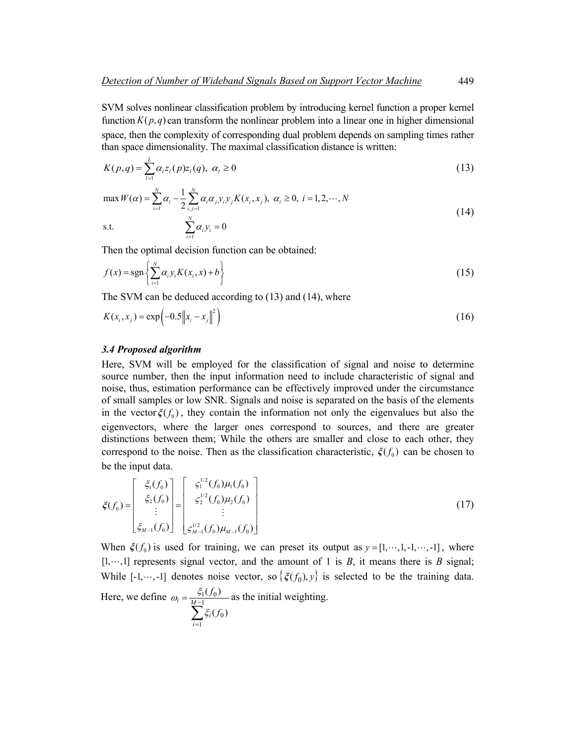SVM solves nonlinear classification problem by introducing kernel function a proper kernel function  $K(p,q)$  can transform the nonlinear problem into a linear one in higher dimensional space, then the complexity of corresponding dual problem depends on sampling times rather than space dimensionality. The maximal classification distance is written:

$$
K(p,q) = \sum_{l=1}^{L} \alpha_{l} z_{l}(p) z_{l}(q), \ \alpha_{l} \ge 0
$$
\n(13)

$$
\max W(\alpha) = \sum_{i=1}^{N} \alpha_i - \frac{1}{2} \sum_{i,j=1}^{N} \alpha_i \alpha_j y_i y_j K(x_i, x_j), \ \alpha_i \ge 0, \ i = 1, 2, \cdots, N
$$
  
s.t. 
$$
\sum_{i=1}^{N} \alpha_i y_i = 0
$$
 (14)

Then the optimal decision function can be obtained:

1

=

$$
f(x) = \operatorname{sgn}\left\{\sum_{i=1}^{N} \alpha_i y_i K(x_i, x) + b\right\}
$$
 (15)

The SVM can be deduced according to (13) and (14), where

$$
K(x_i, x_j) = \exp(-0.5 \|x_i - x_j\|^2)
$$
 (16)

#### *3.4 Proposed algorithm*

Here, SVM will be employed for the classification of signal and noise to determine source number, then the input information need to include characteristic of signal and noise, thus, estimation performance can be effectively improved under the circumstance of small samples or low SNR. Signals and noise is separated on the basis of the elements in the vector  $\zeta(f_0)$ , they contain the information not only the eigenvalues but also the eigenvectors, where the larger ones correspond to sources, and there are greater distinctions between them; While the others are smaller and close to each other, they correspond to the noise. Then as the classification characteristic,  $\zeta(f_0)$  can be chosen to be the input data.

$$
\xi(f_0) = \begin{bmatrix} \xi_1(f_0) \\ \xi_2(f_0) \\ \vdots \\ \xi_{M-1}(f_0) \end{bmatrix} = \begin{bmatrix} \xi_1^{1/2}(f_0)\mu_1(f_0) \\ \xi_2^{1/2}(f_0)\mu_2(f_0) \\ \vdots \\ \xi_{M-1}^{1/2}(f_0)\mu_{M-1}(f_0) \end{bmatrix}
$$
\n(17)

When  $\zeta(f_0)$  is used for training, we can preset its output as  $y = [1, \dots, 1, -1, \dots, -1]$ , where  $[1, \dots, 1]$  represents signal vector, and the amount of 1 is *B*, it means there is *B* signal; While [-1,…,-1] denotes noise vector, so  $\{\xi(f_0), y\}$  is selected to be the training data. Here, we define  $\sum^{M-1}$  $=\frac{51}{M-1}$ 0  $1 U_0$  $(f_0)$  $(f_0)$ *M i f f*  $\omega_i = \frac{\xi_1(f_0)}{M}$  as the initial weighting.

$$
\sum_{i=1} \xi_i
$$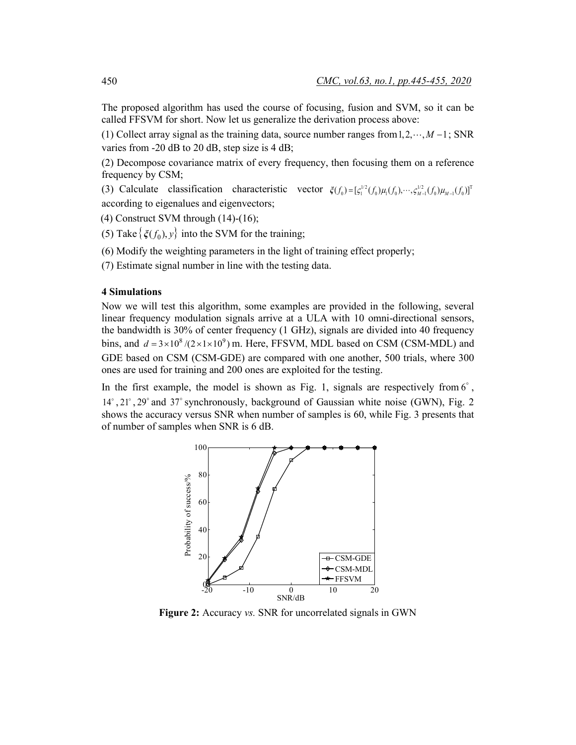The proposed algorithm has used the course of focusing, fusion and SVM, so it can be called FFSVM for short. Now let us generalize the derivation process above:

(1) Collect array signal as the training data, source number ranges from  $1, 2, \dots, M - 1$ ; SNR varies from -20 dB to 20 dB, step size is 4 dB;

(2) Decompose covariance matrix of every frequency, then focusing them on a reference frequency by CSM;

(3) Calculate classification characteristic vector  $\zeta(f_0) = [\zeta_1^{1/2}(f_0)\mu_1(f_0), \cdots, \zeta_{M-1}^{1/2}(f_0)\mu_{M-1}(f_0)]^T$ according to eigenalues and eigenvectors;

(4) Construct SVM through  $(14)-(16)$ ;

(5) Take  $\{\xi(f_0), y\}$  into the SVM for the training;

(6) Modify the weighting parameters in the light of training effect properly;

(7) Estimate signal number in line with the testing data.

# **4 Simulations**

Now we will test this algorithm, some examples are provided in the following, several linear frequency modulation signals arrive at a ULA with 10 omni-directional sensors, the bandwidth is 30% of center frequency (1 GHz), signals are divided into 40 frequency bins, and  $d = 3 \times 10^8 / (2 \times 1 \times 10^9)$  m. Here, FFSVM, MDL based on CSM (CSM-MDL) and GDE based on CSM (CSM-GDE) are compared with one another, 500 trials, where 300 ones are used for training and 200 ones are exploited for the testing.

In the first example, the model is shown as Fig. 1, signals are respectively from  $6^\circ$ ,  $14^\circ$ ,  $21^\circ$ ,  $29^\circ$  and  $37^\circ$  synchronously, background of Gaussian white noise (GWN), Fig. 2 shows the accuracy versus SNR when number of samples is 60, while Fig. 3 presents that of number of samples when SNR is 6 dB.



**Figure 2:** Accuracy *vs.* SNR for uncorrelated signals in GWN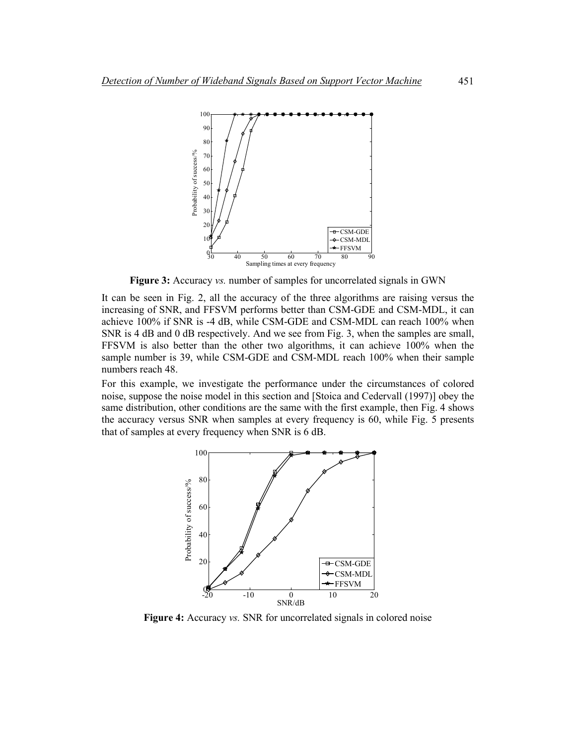

**Figure 3:** Accuracy *vs.* number of samples for uncorrelated signals in GWN

It can be seen in Fig. 2, all the accuracy of the three algorithms are raising versus the increasing of SNR, and FFSVM performs better than CSM-GDE and CSM-MDL, it can achieve 100% if SNR is -4 dB, while CSM-GDE and CSM-MDL can reach 100% when SNR is 4 dB and 0 dB respectively. And we see from Fig. 3, when the samples are small, FFSVM is also better than the other two algorithms, it can achieve 100% when the sample number is 39, while CSM-GDE and CSM-MDL reach 100% when their sample numbers reach 48.

For this example, we investigate the performance under the circumstances of colored noise, suppose the noise model in this section and [Stoica and Cedervall (1997)] obey the same distribution, other conditions are the same with the first example, then Fig. 4 shows the accuracy versus SNR when samples at every frequency is 60, while Fig. 5 presents that of samples at every frequency when SNR is 6 dB.



**Figure 4:** Accuracy *vs.* SNR for uncorrelated signals in colored noise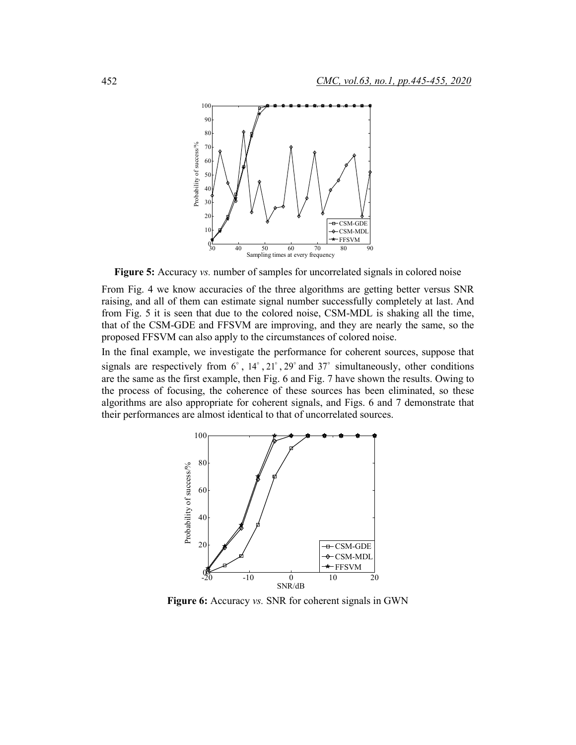

**Figure 5:** Accuracy *vs.* number of samples for uncorrelated signals in colored noise

From Fig. 4 we know accuracies of the three algorithms are getting better versus SNR raising, and all of them can estimate signal number successfully completely at last. And from Fig. 5 it is seen that due to the colored noise, CSM-MDL is shaking all the time, that of the CSM-GDE and FFSVM are improving, and they are nearly the same, so the proposed FFSVM can also apply to the circumstances of colored noise.

In the final example, we investigate the performance for coherent sources, suppose that signals are respectively from  $6^\circ$ ,  $14^\circ$ ,  $21^\circ$ ,  $29^\circ$  and  $37^\circ$  simultaneously, other conditions are the same as the first example, then Fig. 6 and Fig. 7 have shown the results. Owing to the process of focusing, the coherence of these sources has been eliminated, so these algorithms are also appropriate for coherent signals, and Figs. 6 and 7 demonstrate that their performances are almost identical to that of uncorrelated sources.



**Figure 6:** Accuracy *vs.* SNR for coherent signals in GWN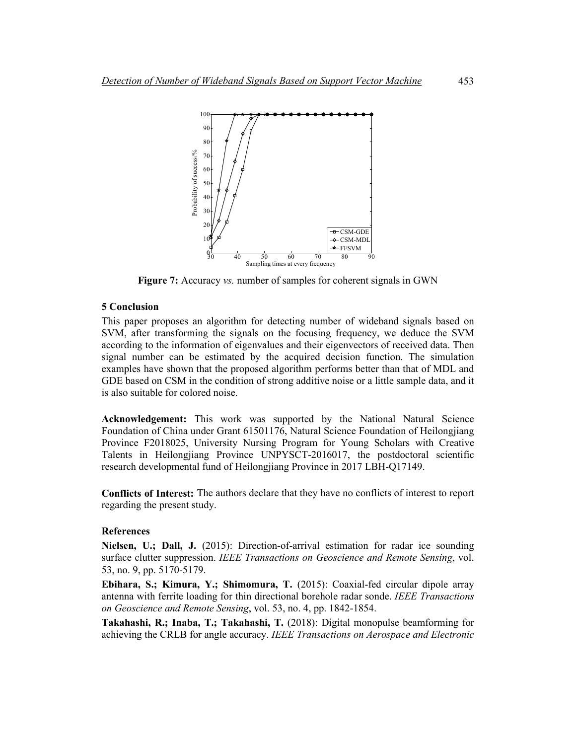

**Figure 7:** Accuracy *vs.* number of samples for coherent signals in GWN

# **5 Conclusion**

This paper proposes an algorithm for detecting number of wideband signals based on SVM, after transforming the signals on the focusing frequency, we deduce the SVM according to the information of eigenvalues and their eigenvectors of received data. Then signal number can be estimated by the acquired decision function. The simulation examples have shown that the proposed algorithm performs better than that of MDL and GDE based on CSM in the condition of strong additive noise or a little sample data, and it is also suitable for colored noise.

**Acknowledgement:** This work was supported by the National Natural Science Foundation of China under Grant 61501176, Natural Science Foundation of Heilongjiang Province F2018025, University Nursing Program for Young Scholars with Creative Talents in Heilongjiang Province UNPYSCT-2016017, the postdoctoral scientific research developmental fund of Heilongjiang Province in 2017 LBH-Q17149.

**Conflicts of Interest:** The authors declare that they have no conflicts of interest to report regarding the present study.

## **References**

**Nielsen, U.; Dall, J.** (2015): Direction-of-arrival estimation for radar ice sounding surface clutter suppression. *IEEE Transactions on Geoscience and Remote Sensing*, vol. 53, no. 9, pp. 5170-5179.

**Ebihara, S.; Kimura, Y.; Shimomura, T.** (2015): Coaxial-fed circular dipole array antenna with ferrite loading for thin directional borehole radar sonde. *IEEE Transactions on Geoscience and Remote Sensing*, vol. 53, no. 4, pp. 1842-1854.

**Takahashi, R.; Inaba, T.; Takahashi, T.** (2018): Digital monopulse beamforming for achieving the CRLB for angle accuracy. *IEEE Transactions on Aerospace and Electronic*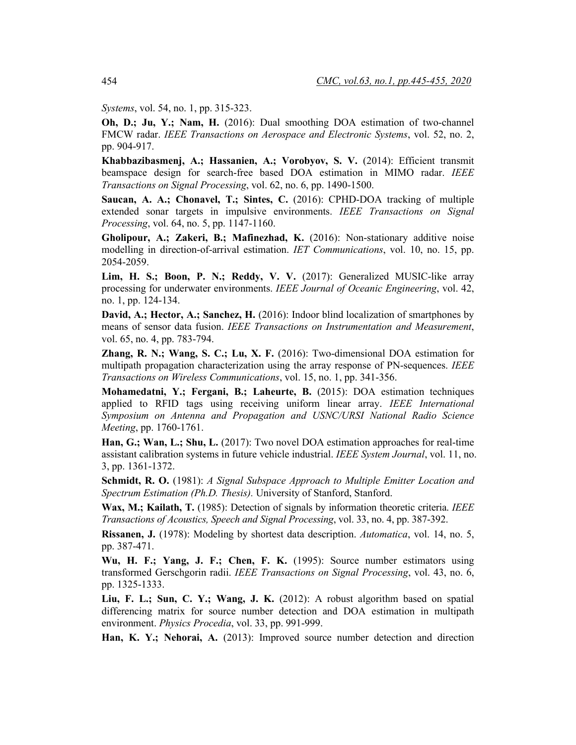*Systems*, vol. 54, no. 1, pp. 315-323.

**Oh, D.; Ju, Y.; Nam, H.** (2016): Dual smoothing DOA estimation of two-channel FMCW radar. *IEEE Transactions on Aerospace and Electronic Systems*, vol. 52, no. 2, pp. 904-917.

**Khabbazibasmenj, A.; Hassanien, A.; Vorobyov, S. V.** (2014): Efficient transmit beamspace design for search-free based DOA estimation in MIMO radar. *IEEE Transactions on Signal Processing*, vol. 62, no. 6, pp. 1490-1500.

**Saucan, A. A.; Chonavel, T.; Sintes, C.** (2016): CPHD-DOA tracking of multiple extended sonar targets in impulsive environments. *IEEE Transactions on Signal Processing*, vol. 64, no. 5, pp. 1147-1160.

**Gholipour, A.; Zakeri, B.; Mafinezhad, K.** (2016): Non-stationary additive noise modelling in direction-of-arrival estimation. *IET Communications*, vol. 10, no. 15, pp. 2054-2059.

**Lim, H. S.; Boon, P. N.; Reddy, V. V.** (2017): Generalized MUSIC-like array processing for underwater environments. *IEEE Journal of Oceanic Engineering*, vol. 42, no. 1, pp. 124-134.

**David, A.; Hector, A.; Sanchez, H.** (2016): Indoor blind localization of smartphones by means of sensor data fusion. *IEEE Transactions on Instrumentation and Measurement*, vol. 65, no. 4, pp. 783-794.

**Zhang, R. N.; Wang, S. C.; Lu, X. F.** (2016): Two-dimensional DOA estimation for multipath propagation characterization using the array response of PN-sequences. *IEEE Transactions on Wireless Communications*, vol. 15, no. 1, pp. 341-356.

**Mohamedatni, Y.; Fergani, B.; Laheurte, B.** (2015): DOA estimation techniques applied to RFID tags using receiving uniform linear array. *IEEE International Symposium on Antenna and Propagation and USNC/URSI National Radio Science Meeting*, pp. 1760-1761.

**Han, G.; Wan, L.; Shu, L.** (2017): Two novel DOA estimation approaches for real-time assistant calibration systems in future vehicle industrial. *IEEE System Journal*, vol. 11, no. 3, pp. 1361-1372.

**Schmidt, R. O.** (1981): *A Signal Subspace Approach to Multiple Emitter Location and Spectrum Estimation (Ph.D. Thesis).* University of Stanford, Stanford.

**Wax, M.; Kailath, T.** (1985): Detection of signals by information theoretic criteria. *IEEE Transactions of Acoustics, Speech and Signal Processing*, vol. 33, no. 4, pp. 387-392.

**Rissanen, J.** (1978): Modeling by shortest data description. *Automatica*, vol. 14, no. 5, pp. 387-471.

**Wu, H. F.; Yang, J. F.; Chen, F. K.** (1995): Source number estimators using transformed Gerschgorin radii. *IEEE Transactions on Signal Processing*, vol. 43, no. 6, pp. 1325-1333.

**Liu, F. L.; Sun, C. Y.; Wang, J. K.** (2012): A robust algorithm based on spatial differencing matrix for source number detection and DOA estimation in multipath environment. *Physics Procedia*, vol. 33, pp. 991-999.

**Han, K. Y.; Nehorai, A.** (2013): Improved source number detection and direction